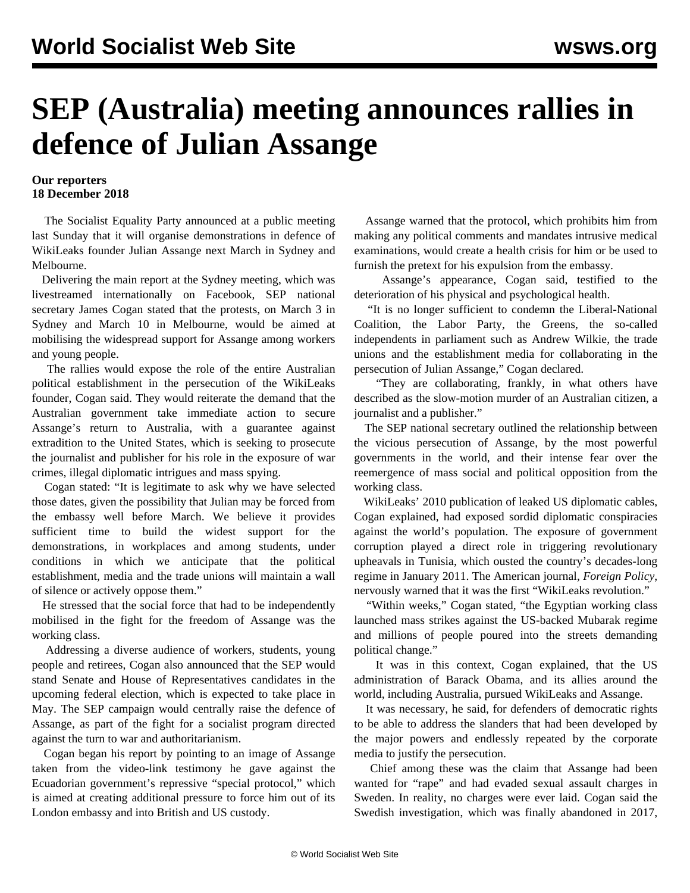## **SEP (Australia) meeting announces rallies in defence of Julian Assange**

## **Our reporters 18 December 2018**

 The Socialist Equality Party announced at a public meeting last Sunday that it will organise demonstrations in defence of WikiLeaks founder Julian Assange next March in Sydney and Melbourne.

 Delivering the main report at the Sydney meeting, which was livestreamed internationally on Facebook, SEP national secretary James Cogan stated that the protests, on March 3 in Sydney and March 10 in Melbourne, would be aimed at mobilising the widespread support for Assange among workers and young people.

 The rallies would expose the role of the entire Australian political establishment in the persecution of the WikiLeaks founder, Cogan said. They would reiterate the demand that the Australian government take immediate action to secure Assange's return to Australia, with a guarantee against extradition to the United States, which is seeking to prosecute the journalist and publisher for his role in the exposure of war crimes, illegal diplomatic intrigues and mass spying.

 Cogan stated: "It is legitimate to ask why we have selected those dates, given the possibility that Julian may be forced from the embassy well before March. We believe it provides sufficient time to build the widest support for the demonstrations, in workplaces and among students, under conditions in which we anticipate that the political establishment, media and the trade unions will maintain a wall of silence or actively oppose them."

 He stressed that the social force that had to be independently mobilised in the fight for the freedom of Assange was the working class.

 Addressing a diverse audience of workers, students, young people and retirees, Cogan also announced that the SEP would stand Senate and House of Representatives candidates in the upcoming federal election, which is expected to take place in May. The SEP campaign would centrally raise the defence of Assange, as part of the fight for a socialist program directed against the turn to war and authoritarianism.

 Cogan began his report by pointing to an image of Assange taken from the video-link testimony he gave against the Ecuadorian government's repressive "special protocol," which is aimed at creating additional pressure to force him out of its London embassy and into British and US custody.

 Assange warned that the protocol, which prohibits him from making any political comments and mandates intrusive medical examinations, would create a health crisis for him or be used to furnish the pretext for his expulsion from the embassy.

 Assange's appearance, Cogan said, testified to the deterioration of his physical and psychological health.

 "It is no longer sufficient to condemn the Liberal-National Coalition, the Labor Party, the Greens, the so-called independents in parliament such as Andrew Wilkie, the trade unions and the establishment media for collaborating in the persecution of Julian Assange," Cogan declared.

 "They are collaborating, frankly, in what others have described as the slow-motion murder of an Australian citizen, a journalist and a publisher."

 The SEP national secretary outlined the relationship between the vicious persecution of Assange, by the most powerful governments in the world, and their intense fear over the reemergence of mass social and political opposition from the working class.

 WikiLeaks' 2010 publication of leaked US diplomatic cables, Cogan explained, had exposed sordid diplomatic conspiracies against the world's population. The exposure of government corruption played a direct role in triggering revolutionary upheavals in Tunisia, which ousted the country's decades-long regime in January 2011. The American journal, *Foreign Policy*, nervously warned that it was the first "WikiLeaks revolution."

 "Within weeks," Cogan stated, "the Egyptian working class launched mass strikes against the US-backed Mubarak regime and millions of people poured into the streets demanding political change."

 It was in this context, Cogan explained, that the US administration of Barack Obama, and its allies around the world, including Australia, pursued WikiLeaks and Assange.

 It was necessary, he said, for defenders of democratic rights to be able to address the slanders that had been developed by the major powers and endlessly repeated by the corporate media to justify the persecution.

 Chief among these was the claim that Assange had been wanted for "rape" and had evaded sexual assault charges in Sweden. In reality, no charges were ever laid. Cogan said the Swedish investigation, which was finally abandoned in 2017,